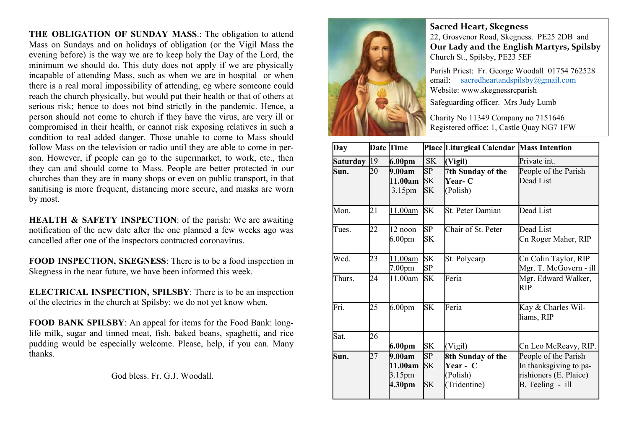THE OBLIGATION OF SUNDAY MASS.: The obligation to attend Mass on Sundays and on holidays of obligation (or the Vigil Mass the evening before) is the way we are to keep holy the Day of the Lord, the minimum we should do. This duty does not apply if we are physically incapable of attending Mass, such as when we are in hospital or when there is a real moral impossibility of attending, eg where someone could reach the church physically, but would put their health or that of others at serious risk; hence to does not bind strictly in the pandemic. Hence, a person should not come to church if they have the virus, are very ill or compromised in their health, or cannot risk exposing relatives in such a condition to real added danger. Those unable to come to Mass should follow Mass on the television or radio until they are able to come in person. However, if people can go to the supermarket, to work, etc., then they can and should come to Mass. People are better protected in our churches than they are in many shops or even on public transport, in that sanitising is more frequent, distancing more secure, and masks are worn by most.

HEALTH & SAFETY INSPECTION: of the parish: We are awaiting notification of the new date after the one planned a few weeks ago was cancelled after one of the inspectors contracted coronavirus.

FOOD INSPECTION, SKEGNESS: There is to be a food inspection in Skegness in the near future, we have been informed this week.

ELECTRICAL INSPECTION, SPILSBY: There is to be an inspection of the electrics in the church at Spilsby; we do not yet know when.

FOOD BANK SPILSBY: An appeal for items for the Food Bank: longlife milk, sugar and tinned meat, fish, baked beans, spaghetti, and rice pudding would be especially welcome. Please, help, if you can. Many thanks.

God bless. Fr. G.J. Woodall.



Sacred Heart, Skegness 22, Grosvenor Road, Skegness. PE25 2DB and Our Lady and the English Martyrs, Spilsby Church St., Spilsby, PE23 5EF

Parish Priest: Fr. George Woodall 01754 762528 email: sacredheartandspilsby@gmail.com Website: www.skegnessrcparish

Safeguarding officer. Mrs Judy Lumb

Charity No 11349 Company no 7151646 Registered office: 1, Castle Quay NG7 1FW

| Day                    |    | Date Time                                         |                              | Place Liturgical Calendar Mass Intention                  |                                                                                              |
|------------------------|----|---------------------------------------------------|------------------------------|-----------------------------------------------------------|----------------------------------------------------------------------------------------------|
| Saturday <sup>19</sup> |    | 6.00 <sub>pm</sub>                                | <b>SK</b>                    | (Vigil)                                                   | Private int.                                                                                 |
| Sun.                   | 20 | 9.00am<br>11.00am<br>3.15 <sub>pm</sub>           | SP<br>SK<br><b>SK</b>        | 7th Sunday of the<br><b>Near- C</b><br>(Polish)           | People of the Parish<br>Dead List                                                            |
| Mon.                   | 21 | 11.00am                                           | <b>SK</b>                    | lSt. Peter Damian                                         | Dead List                                                                                    |
| Tues.                  | 22 | 12 noon<br>6.00 <sub>pm</sub>                     | SP<br>SK                     | Chair of St. Peter                                        | Dead List<br>Cn Roger Maher, RIP                                                             |
| Wed.                   | 23 | 11.00am<br>7.00pm                                 | <b>SK</b><br>SP              | St. Polycarp                                              | Cn Colin Taylor, RIP<br>Mgr. T. McGovern - ill                                               |
| Thurs.                 | 24 | 11.00am                                           | <b>SK</b>                    | Feria                                                     | Mgr. Edward Walker,<br>RIP                                                                   |
| Fri.                   | 25 | 6.00 <sub>pm</sub>                                | <b>SK</b>                    | Feria                                                     | Kay & Charles Wil-<br>liams, RIP                                                             |
| Sat.                   | 26 | 6.00 <sub>pm</sub>                                | SK                           | (Vigil)                                                   | Cn Leo McReavy, RIP.                                                                         |
| Sun.                   | 27 | 9.00am<br>11.00am<br>3.15 <sub>pm</sub><br>4.30pm | SP<br><b>SK</b><br><b>SK</b> | 8th Sunday of the<br>Year - C<br>(Polish)<br>(Tridentine) | People of the Parish<br>In thanksgiving to pa-<br>rishioners (E. Plaice)<br>B. Teeling - ill |